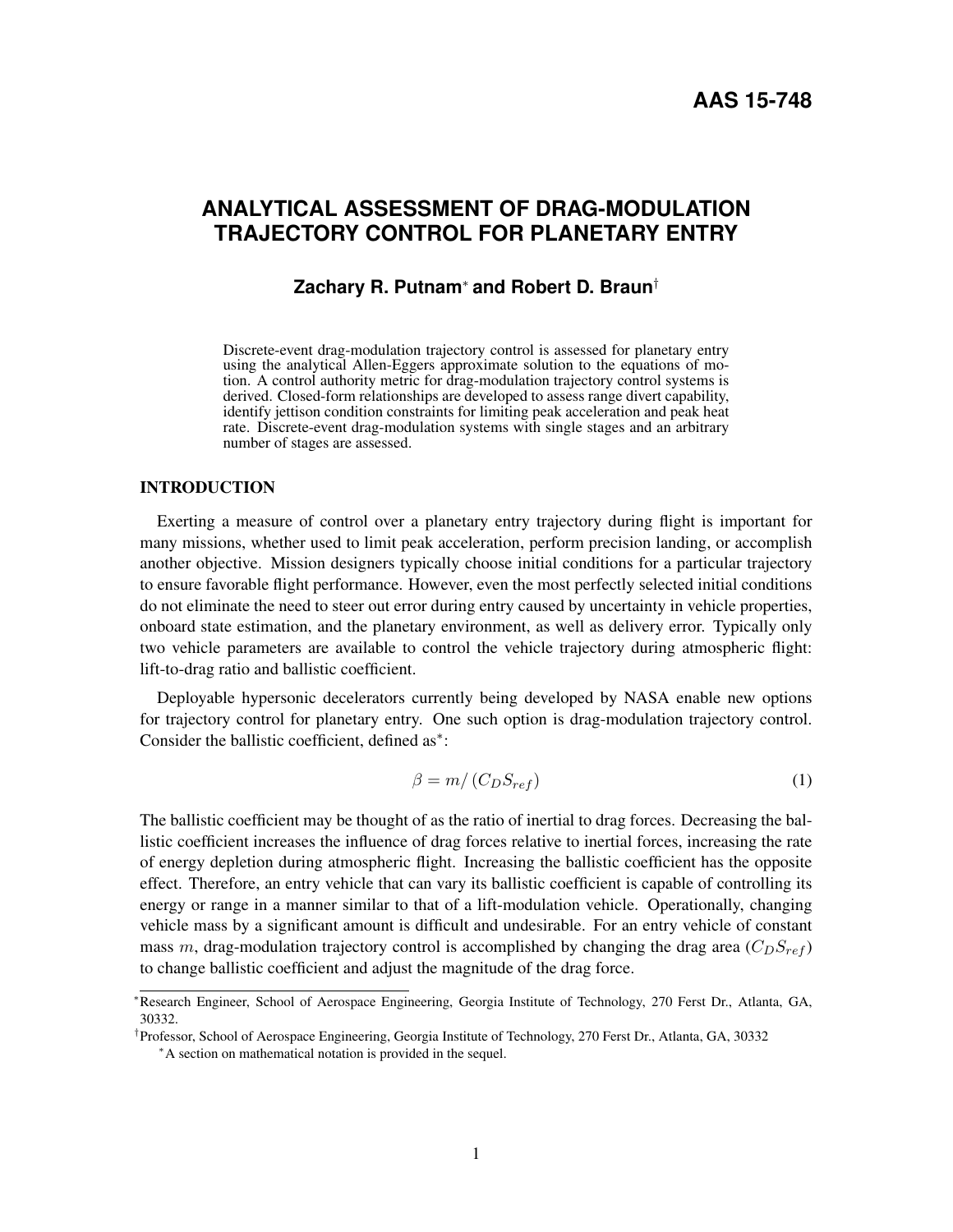# **ANALYTICAL ASSESSMENT OF DRAG-MODULATION TRAJECTORY CONTROL FOR PLANETARY ENTRY**

# **Zachary R. Putnam**<sup>∗</sup> **and Robert D. Braun**†

Discrete-event drag-modulation trajectory control is assessed for planetary entry using the analytical Allen-Eggers approximate solution to the equations of motion. A control authority metric for drag-modulation trajectory control systems is derived. Closed-form relationships are developed to assess range divert capability, identify jettison condition constraints for limiting peak acceleration and peak heat rate. Discrete-event drag-modulation systems with single stages and an arbitrary number of stages are assessed.

## INTRODUCTION

Exerting a measure of control over a planetary entry trajectory during flight is important for many missions, whether used to limit peak acceleration, perform precision landing, or accomplish another objective. Mission designers typically choose initial conditions for a particular trajectory to ensure favorable flight performance. However, even the most perfectly selected initial conditions do not eliminate the need to steer out error during entry caused by uncertainty in vehicle properties, onboard state estimation, and the planetary environment, as well as delivery error. Typically only two vehicle parameters are available to control the vehicle trajectory during atmospheric flight: lift-to-drag ratio and ballistic coefficient.

Deployable hypersonic decelerators currently being developed by NASA enable new options for trajectory control for planetary entry. One such option is drag-modulation trajectory control. Consider the ballistic coefficient, defined as[∗](#page-0-0) :

$$
\beta = m / (C_D S_{ref}) \tag{1}
$$

The ballistic coefficient may be thought of as the ratio of inertial to drag forces. Decreasing the ballistic coefficient increases the influence of drag forces relative to inertial forces, increasing the rate of energy depletion during atmospheric flight. Increasing the ballistic coefficient has the opposite effect. Therefore, an entry vehicle that can vary its ballistic coefficient is capable of controlling its energy or range in a manner similar to that of a lift-modulation vehicle. Operationally, changing vehicle mass by a significant amount is difficult and undesirable. For an entry vehicle of constant mass m, drag-modulation trajectory control is accomplished by changing the drag area  $(C_D S_{ref})$ to change ballistic coefficient and adjust the magnitude of the drag force.

<sup>∗</sup>Research Engineer, School of Aerospace Engineering, Georgia Institute of Technology, 270 Ferst Dr., Atlanta, GA, 30332.

<span id="page-0-0"></span><sup>†</sup> Professor, School of Aerospace Engineering, Georgia Institute of Technology, 270 Ferst Dr., Atlanta, GA, 30332 <sup>∗</sup>A section on mathematical notation is provided in the sequel.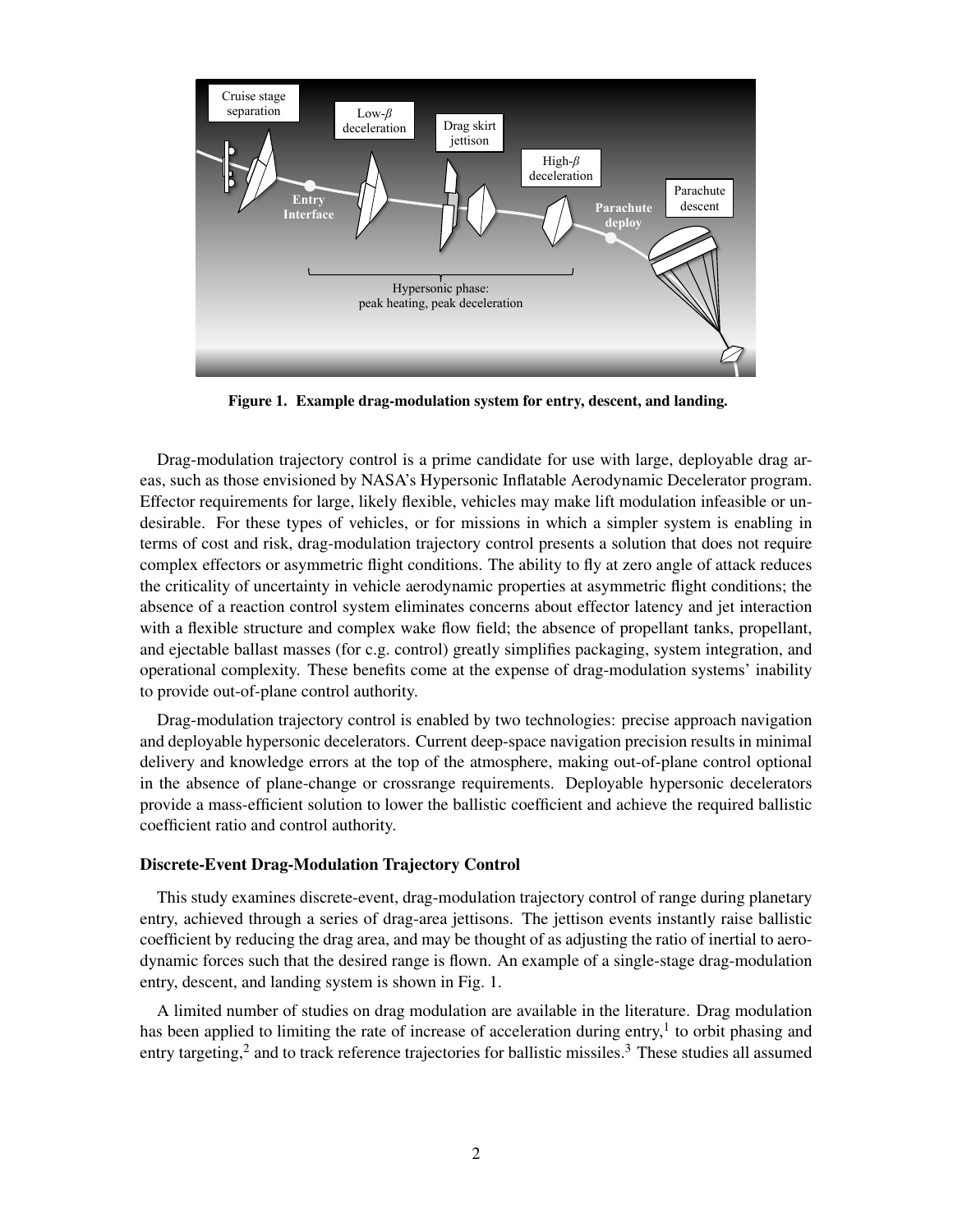

<span id="page-1-0"></span>Figure 1. Example drag-modulation system for entry, descent, and landing.

Drag-modulation trajectory control is a prime candidate for use with large, deployable drag areas, such as those envisioned by NASA's Hypersonic Inflatable Aerodynamic Decelerator program. Effector requirements for large, likely flexible, vehicles may make lift modulation infeasible or undesirable. For these types of vehicles, or for missions in which a simpler system is enabling in terms of cost and risk, drag-modulation trajectory control presents a solution that does not require complex effectors or asymmetric flight conditions. The ability to fly at zero angle of attack reduces the criticality of uncertainty in vehicle aerodynamic properties at asymmetric flight conditions; the absence of a reaction control system eliminates concerns about effector latency and jet interaction with a flexible structure and complex wake flow field; the absence of propellant tanks, propellant, and ejectable ballast masses (for c.g. control) greatly simplifies packaging, system integration, and operational complexity. These benefits come at the expense of drag-modulation systems' inability to provide out-of-plane control authority.

Drag-modulation trajectory control is enabled by two technologies: precise approach navigation and deployable hypersonic decelerators. Current deep-space navigation precision results in minimal delivery and knowledge errors at the top of the atmosphere, making out-of-plane control optional in the absence of plane-change or crossrange requirements. Deployable hypersonic decelerators provide a mass-efficient solution to lower the ballistic coefficient and achieve the required ballistic coefficient ratio and control authority.

#### Discrete-Event Drag-Modulation Trajectory Control

This study examines discrete-event, drag-modulation trajectory control of range during planetary entry, achieved through a series of drag-area jettisons. The jettison events instantly raise ballistic coefficient by reducing the drag area, and may be thought of as adjusting the ratio of inertial to aerodynamic forces such that the desired range is flown. An example of a single-stage drag-modulation entry, descent, and landing system is shown in Fig. [1.](#page-1-0)

A limited number of studies on drag modulation are available in the literature. Drag modulation has been applied to limiting the rate of increase of acceleration during entry,<sup>[1](#page-15-0)</sup> to orbit phasing and entry targeting,<sup>[2](#page-15-1)</sup> and to track reference trajectories for ballistic missiles.<sup>[3](#page-15-2)</sup> These studies all assumed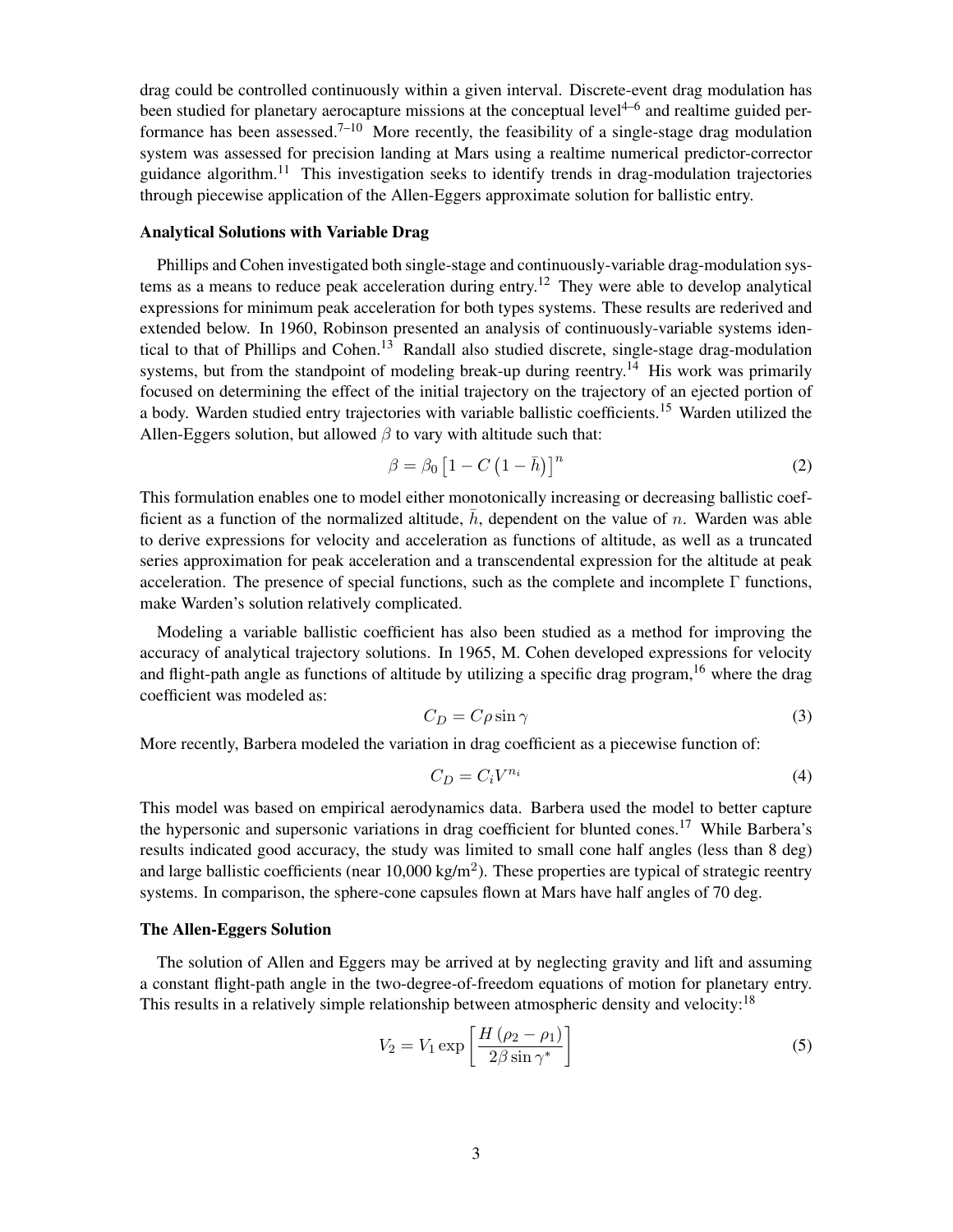drag could be controlled continuously within a given interval. Discrete-event drag modulation has been studied for planetary aerocapture missions at the conceptual level<sup>[4–](#page-15-3)[6](#page-15-4)</sup> and realtime guided per-formance has been assessed.<sup>[7–](#page-15-5)[10](#page-15-6)</sup> More recently, the feasibility of a single-stage drag modulation system was assessed for precision landing at Mars using a realtime numerical predictor-corrector guidance algorithm.<sup>[11](#page-16-0)</sup> This investigation seeks to identify trends in drag-modulation trajectories through piecewise application of the Allen-Eggers approximate solution for ballistic entry.

### Analytical Solutions with Variable Drag

Phillips and Cohen investigated both single-stage and continuously-variable drag-modulation sys-tems as a means to reduce peak acceleration during entry.<sup>[12](#page-16-1)</sup> They were able to develop analytical expressions for minimum peak acceleration for both types systems. These results are rederived and extended below. In 1960, Robinson presented an analysis of continuously-variable systems iden-tical to that of Phillips and Cohen.<sup>[13](#page-16-2)</sup> Randall also studied discrete, single-stage drag-modulation systems, but from the standpoint of modeling break-up during reentry.<sup>[14](#page-16-3)</sup> His work was primarily focused on determining the effect of the initial trajectory on the trajectory of an ejected portion of a body. Warden studied entry trajectories with variable ballistic coefficients.<sup>[15](#page-16-4)</sup> Warden utilized the Allen-Eggers solution, but allowed  $\beta$  to vary with altitude such that:

$$
\beta = \beta_0 \left[ 1 - C \left( 1 - \bar{h} \right) \right]^n \tag{2}
$$

This formulation enables one to model either monotonically increasing or decreasing ballistic coefficient as a function of the normalized altitude,  $\bar{h}$ , dependent on the value of n. Warden was able to derive expressions for velocity and acceleration as functions of altitude, as well as a truncated series approximation for peak acceleration and a transcendental expression for the altitude at peak acceleration. The presence of special functions, such as the complete and incomplete  $\Gamma$  functions, make Warden's solution relatively complicated.

Modeling a variable ballistic coefficient has also been studied as a method for improving the accuracy of analytical trajectory solutions. In 1965, M. Cohen developed expressions for velocity and flight-path angle as functions of altitude by utilizing a specific drag program,  $16$  where the drag coefficient was modeled as:

$$
C_D = C\rho \sin \gamma \tag{3}
$$

More recently, Barbera modeled the variation in drag coefficient as a piecewise function of:

$$
C_D = C_i V^{n_i} \tag{4}
$$

This model was based on empirical aerodynamics data. Barbera used the model to better capture the hypersonic and supersonic variations in drag coefficient for blunted cones.<sup>[17](#page-16-6)</sup> While Barbera's results indicated good accuracy, the study was limited to small cone half angles (less than 8 deg) and large ballistic coefficients (near  $10,000 \text{ kg/m}^2$ ). These properties are typical of strategic reentry systems. In comparison, the sphere-cone capsules flown at Mars have half angles of 70 deg.

#### The Allen-Eggers Solution

The solution of Allen and Eggers may be arrived at by neglecting gravity and lift and assuming a constant flight-path angle in the two-degree-of-freedom equations of motion for planetary entry. This results in a relatively simple relationship between atmospheric density and velocity:<sup>[18](#page-16-7)</sup>

<span id="page-2-0"></span>
$$
V_2 = V_1 \exp\left[\frac{H\left(\rho_2 - \rho_1\right)}{2\beta \sin \gamma^*}\right] \tag{5}
$$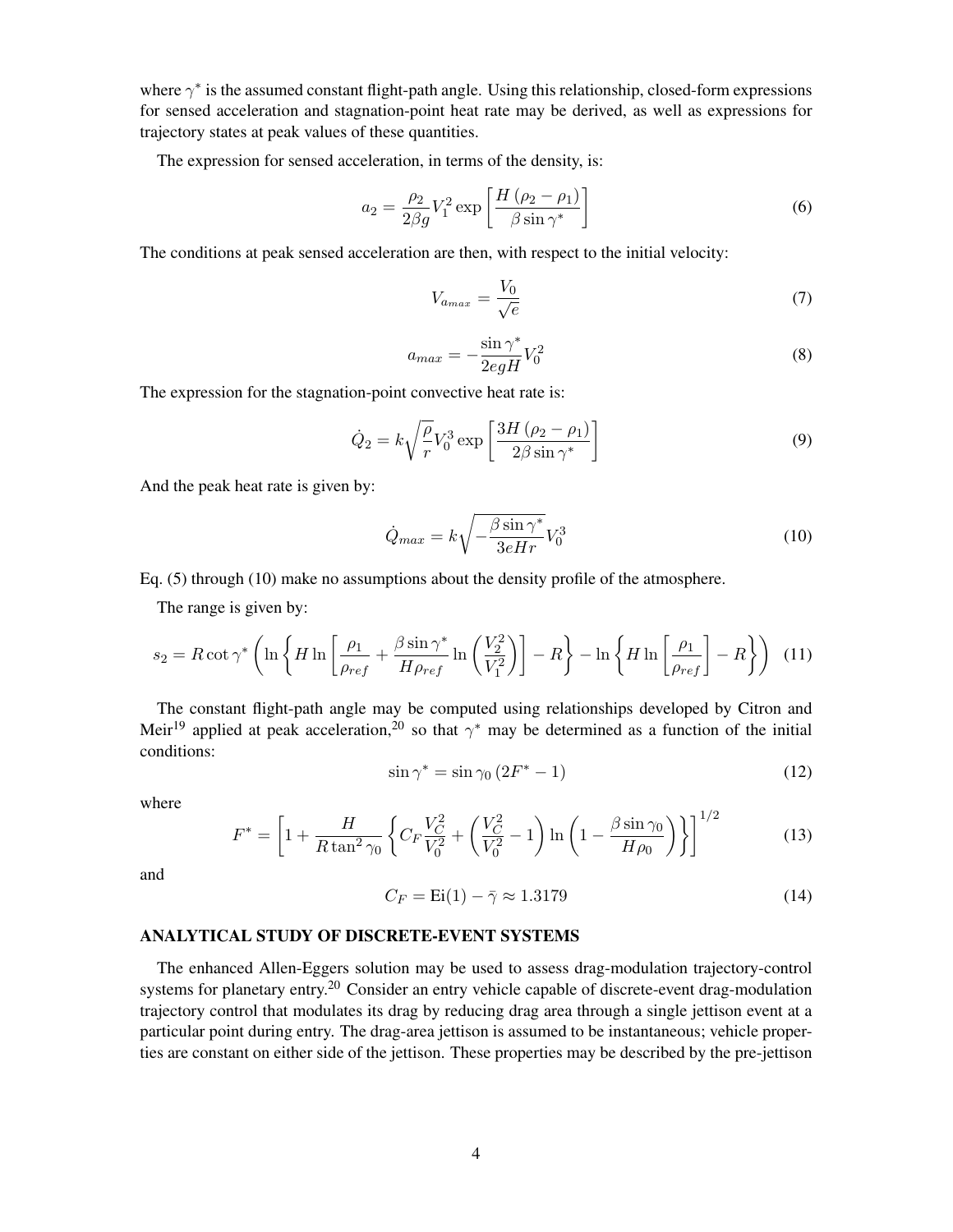where  $\gamma^*$  is the assumed constant flight-path angle. Using this relationship, closed-form expressions for sensed acceleration and stagnation-point heat rate may be derived, as well as expressions for trajectory states at peak values of these quantities.

The expression for sensed acceleration, in terms of the density, is:

$$
a_2 = \frac{\rho_2}{2\beta g} V_1^2 \exp\left[\frac{H\left(\rho_2 - \rho_1\right)}{\beta \sin \gamma^*}\right] \tag{6}
$$

The conditions at peak sensed acceleration are then, with respect to the initial velocity:

$$
V_{a_{max}} = \frac{V_0}{\sqrt{e}}\tag{7}
$$

$$
a_{max} = -\frac{\sin \gamma^*}{2egH}V_0^2\tag{8}
$$

The expression for the stagnation-point convective heat rate is:

$$
\dot{Q}_2 = k \sqrt{\frac{\rho}{r}} V_0^3 \exp\left[\frac{3H\left(\rho_2 - \rho_1\right)}{2\beta \sin \gamma^*}\right] \tag{9}
$$

And the peak heat rate is given by:

<span id="page-3-0"></span>
$$
\dot{Q}_{max} = k \sqrt{-\frac{\beta \sin \gamma^*}{3eHr}} V_0^3 \tag{10}
$$

Eq. [\(5\)](#page-2-0) through [\(10\)](#page-3-0) make no assumptions about the density profile of the atmosphere.

The range is given by:

$$
s_2 = R \cot \gamma^* \left( \ln \left\{ H \ln \left[ \frac{\rho_1}{\rho_{ref}} + \frac{\beta \sin \gamma^*}{H \rho_{ref}} \ln \left( \frac{V_2^2}{V_1^2} \right) \right] - R \right\} - \ln \left\{ H \ln \left[ \frac{\rho_1}{\rho_{ref}} \right] - R \right\} \right) (11)
$$

The constant flight-path angle may be computed using relationships developed by Citron and Meir<sup>[19](#page-16-8)</sup> applied at peak acceleration,<sup>[20](#page-16-9)</sup> so that  $\gamma^*$  may be determined as a function of the initial conditions:

$$
\sin \gamma^* = \sin \gamma_0 \left( 2F^* - 1 \right) \tag{12}
$$

where

$$
F^* = \left[1 + \frac{H}{R \tan^2 \gamma_0} \left\{ C_F \frac{V_C^2}{V_0^2} + \left(\frac{V_C^2}{V_0^2} - 1\right) \ln\left(1 - \frac{\beta \sin \gamma_0}{H \rho_0}\right) \right\}\right]^{1/2} \tag{13}
$$

and

$$
C_F = \text{Ei}(1) - \bar{\gamma} \approx 1.3179\tag{14}
$$

#### ANALYTICAL STUDY OF DISCRETE-EVENT SYSTEMS

The enhanced Allen-Eggers solution may be used to assess drag-modulation trajectory-control systems for planetary entry.<sup>[20](#page-16-9)</sup> Consider an entry vehicle capable of discrete-event drag-modulation trajectory control that modulates its drag by reducing drag area through a single jettison event at a particular point during entry. The drag-area jettison is assumed to be instantaneous; vehicle properties are constant on either side of the jettison. These properties may be described by the pre-jettison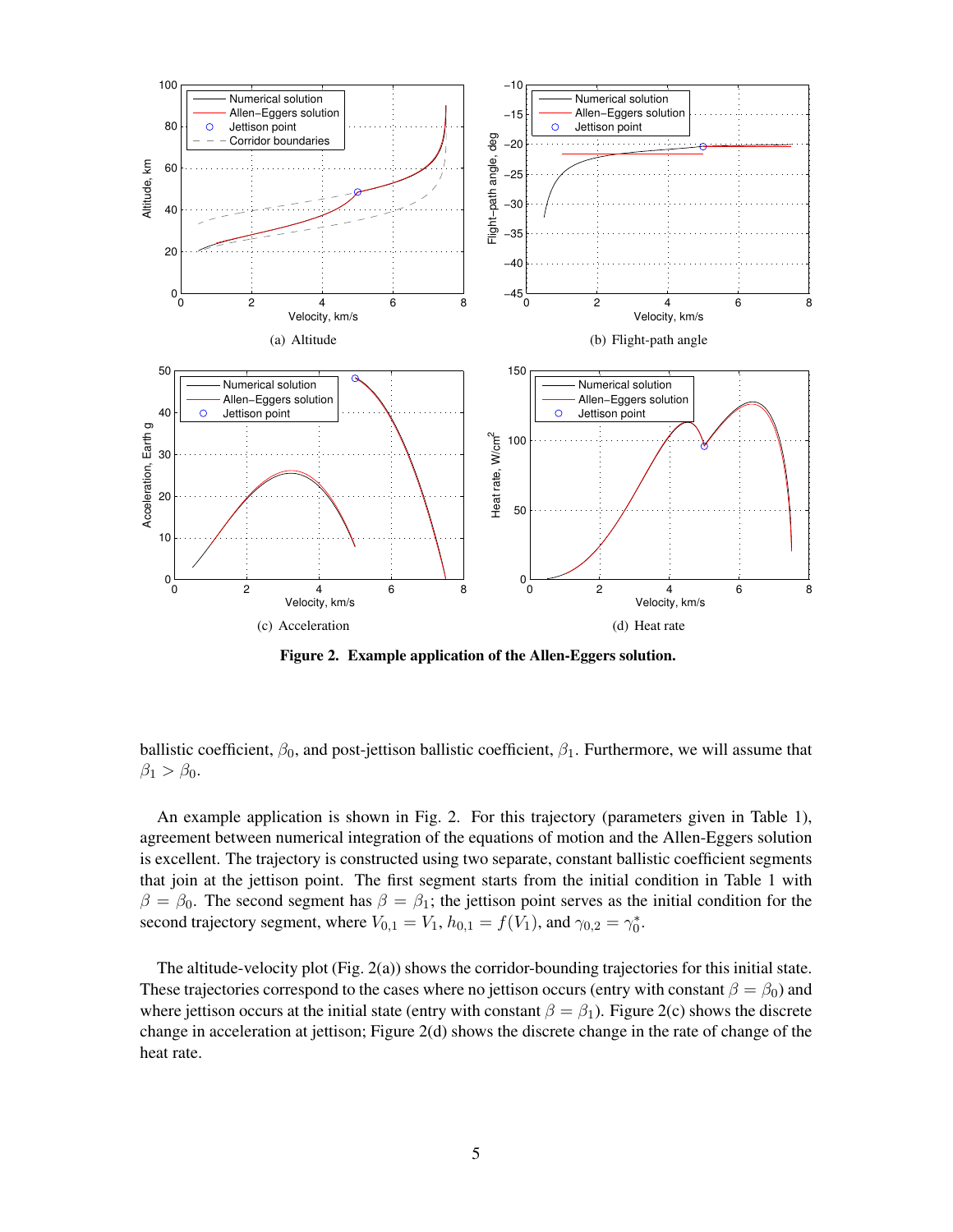<span id="page-4-2"></span><span id="page-4-1"></span>

<span id="page-4-3"></span><span id="page-4-0"></span>Figure 2. Example application of the Allen-Eggers solution.

ballistic coefficient,  $\beta_0$ , and post-jettison ballistic coefficient,  $\beta_1$ . Furthermore, we will assume that  $\beta_1 > \beta_0$ .

An example application is shown in Fig. [2.](#page-4-0) For this trajectory (parameters given in Table [1\)](#page-5-0), agreement between numerical integration of the equations of motion and the Allen-Eggers solution is excellent. The trajectory is constructed using two separate, constant ballistic coefficient segments that join at the jettison point. The first segment starts from the initial condition in Table [1](#page-5-0) with  $\beta = \beta_0$ . The second segment has  $\beta = \beta_1$ ; the jettison point serves as the initial condition for the second trajectory segment, where  $V_{0,1} = V_1$ ,  $h_{0,1} = f(V_1)$ , and  $\gamma_{0,2} = \gamma_0^*$ .

The altitude-velocity plot (Fig. [2\(a\)\)](#page-4-1) shows the corridor-bounding trajectories for this initial state. These trajectories correspond to the cases where no jettison occurs (entry with constant  $\beta = \beta_0$ ) and where jettison occurs at the initial state (entry with constant  $\beta = \beta_1$ ). Figure [2\(c\)](#page-4-2) shows the discrete change in acceleration at jettison; Figure [2\(d\)](#page-4-3) shows the discrete change in the rate of change of the heat rate.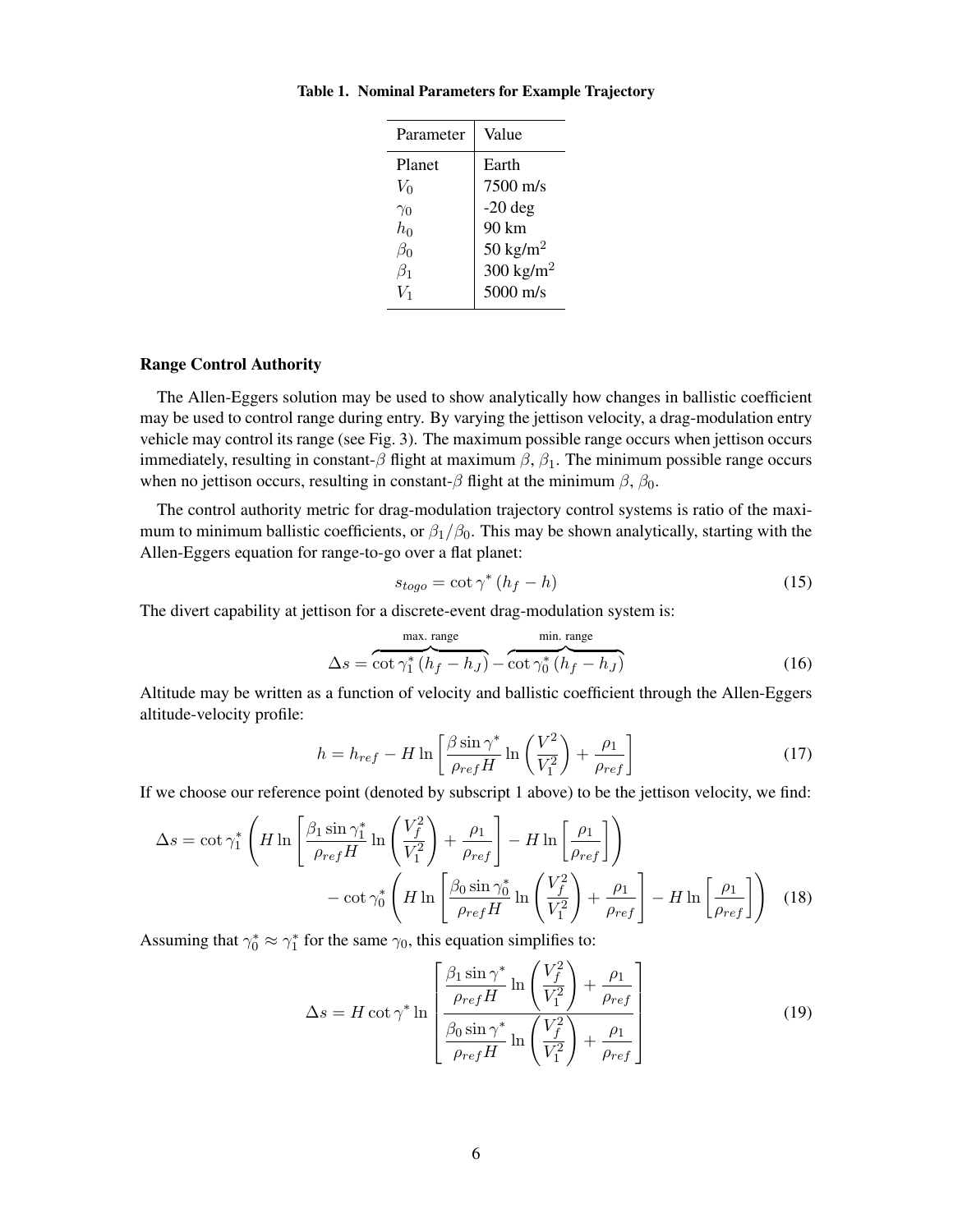<span id="page-5-0"></span>

| Parameter  | Value                 |
|------------|-----------------------|
| Planet     | Earth                 |
| $V_0$      | $7500 \text{ m/s}$    |
| $\gamma_0$ | $-20$ deg             |
| $h_0$      | 90 km                 |
| $\beta_0$  | 50 kg/m <sup>2</sup>  |
| $\beta_1$  | 300 kg/m <sup>2</sup> |
|            | $5000 \text{ m/s}$    |
|            |                       |

#### Table 1. Nominal Parameters for Example Trajectory

## Range Control Authority

The Allen-Eggers solution may be used to show analytically how changes in ballistic coefficient may be used to control range during entry. By varying the jettison velocity, a drag-modulation entry vehicle may control its range (see Fig. [3\)](#page-6-0). The maximum possible range occurs when jettison occurs immediately, resulting in constant-β flight at maximum  $\beta$ ,  $\beta$ <sub>1</sub>. The minimum possible range occurs when no jettison occurs, resulting in constant- $\beta$  flight at the minimum  $\beta$ ,  $\beta_0$ .

The control authority metric for drag-modulation trajectory control systems is ratio of the maximum to minimum ballistic coefficients, or  $\beta_1/\beta_0$ . This may be shown analytically, starting with the Allen-Eggers equation for range-to-go over a flat planet:

$$
s_{togo} = \cot \gamma^* (h_f - h) \tag{15}
$$

The divert capability at jettison for a discrete-event drag-modulation system is:

$$
\Delta s = \overbrace{\cot \gamma_1^* (h_f - h_J)}^{\text{max. range}} - \overbrace{\cot \gamma_0^* (h_f - h_J)}^{\text{min. range}}
$$
(16)

Altitude may be written as a function of velocity and ballistic coefficient through the Allen-Eggers altitude-velocity profile:

$$
h = h_{ref} - H \ln \left[ \frac{\beta \sin \gamma^*}{\rho_{ref} H} \ln \left( \frac{V^2}{V_1^2} \right) + \frac{\rho_1}{\rho_{ref}} \right]
$$
 (17)

If we choose our reference point (denoted by subscript 1 above) to be the jettison velocity, we find:

$$
\Delta s = \cot \gamma_1^* \left( H \ln \left[ \frac{\beta_1 \sin \gamma_1^*}{\rho_{ref} H} \ln \left( \frac{V_f^2}{V_1^2} \right) + \frac{\rho_1}{\rho_{ref}} \right] - H \ln \left[ \frac{\rho_1}{\rho_{ref}} \right] \right) - \cot \gamma_0^* \left( H \ln \left[ \frac{\beta_0 \sin \gamma_0^*}{\rho_{ref} H} \ln \left( \frac{V_f^2}{V_1^2} \right) + \frac{\rho_1}{\rho_{ref}} \right] - H \ln \left[ \frac{\rho_1}{\rho_{ref}} \right] \right) (18)
$$

Assuming that  $\gamma_0^* \approx \gamma_1^*$  for the same  $\gamma_0$ , this equation simplifies to:

<span id="page-5-1"></span>
$$
\Delta s = H \cot \gamma^* \ln \left[ \frac{\frac{\beta_1 \sin \gamma^*}{\rho_{ref} H} \ln \left( \frac{V_f^2}{V_1^2} \right) + \frac{\rho_1}{\rho_{ref}}}{\frac{\beta_0 \sin \gamma^*}{\rho_{ref} H} \ln \left( \frac{V_f^2}{V_1^2} \right) + \frac{\rho_1}{\rho_{ref}}} \right]
$$
(19)

 $\overline{a}$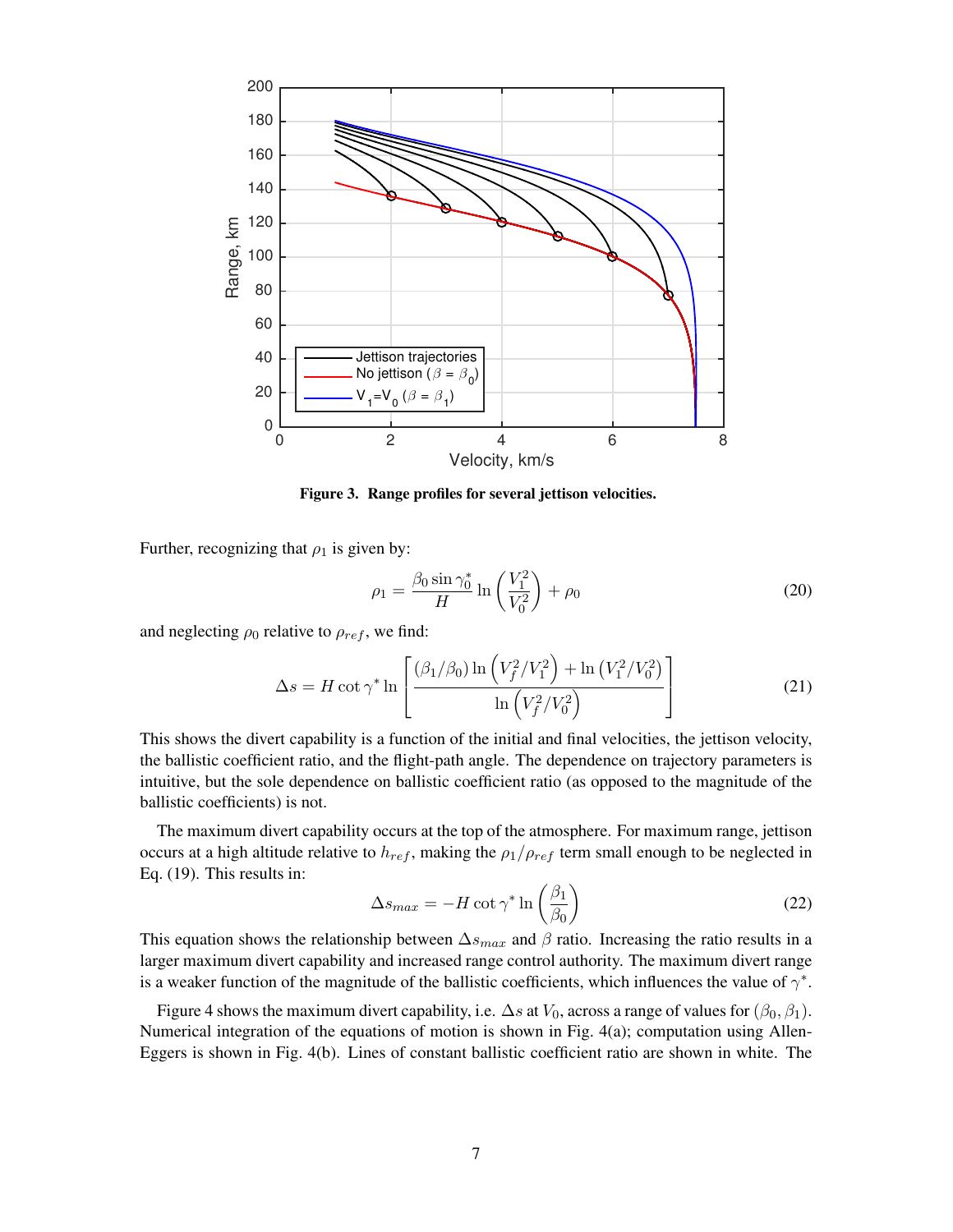

<span id="page-6-0"></span>Figure 3. Range profiles for several jettison velocities.

Further, recognizing that  $\rho_1$  is given by:

<span id="page-6-1"></span>
$$
\rho_1 = \frac{\beta_0 \sin \gamma_0^*}{H} \ln \left( \frac{V_1^2}{V_0^2} \right) + \rho_0 \tag{20}
$$

and neglecting  $\rho_0$  relative to  $\rho_{ref}$ , we find:

$$
\Delta s = H \cot \gamma^* \ln \left[ \frac{(\beta_1/\beta_0) \ln \left( V_f^2 / V_1^2 \right) + \ln \left( V_1^2 / V_0^2 \right)}{\ln \left( V_f^2 / V_0^2 \right)} \right]
$$
(21)

This shows the divert capability is a function of the initial and final velocities, the jettison velocity, the ballistic coefficient ratio, and the flight-path angle. The dependence on trajectory parameters is intuitive, but the sole dependence on ballistic coefficient ratio (as opposed to the magnitude of the ballistic coefficients) is not.

The maximum divert capability occurs at the top of the atmosphere. For maximum range, jettison occurs at a high altitude relative to  $h_{ref}$ , making the  $\rho_1/\rho_{ref}$  term small enough to be neglected in Eq. [\(19\)](#page-5-1). This results in:

$$
\Delta s_{max} = -H \cot \gamma^* \ln \left(\frac{\beta_1}{\beta_0}\right) \tag{22}
$$

This equation shows the relationship between  $\Delta s_{max}$  and  $\beta$  ratio. Increasing the ratio results in a larger maximum divert capability and increased range control authority. The maximum divert range is a weaker function of the magnitude of the ballistic coefficients, which influences the value of  $\gamma^*$ .

Figure [4](#page-7-0) shows the maximum divert capability, i.e.  $\Delta s$  at  $V_0$ , across a range of values for  $(\beta_0, \beta_1)$ . Numerical integration of the equations of motion is shown in Fig. [4\(a\);](#page-7-1) computation using Allen-Eggers is shown in Fig. [4\(b\).](#page-7-2) Lines of constant ballistic coefficient ratio are shown in white. The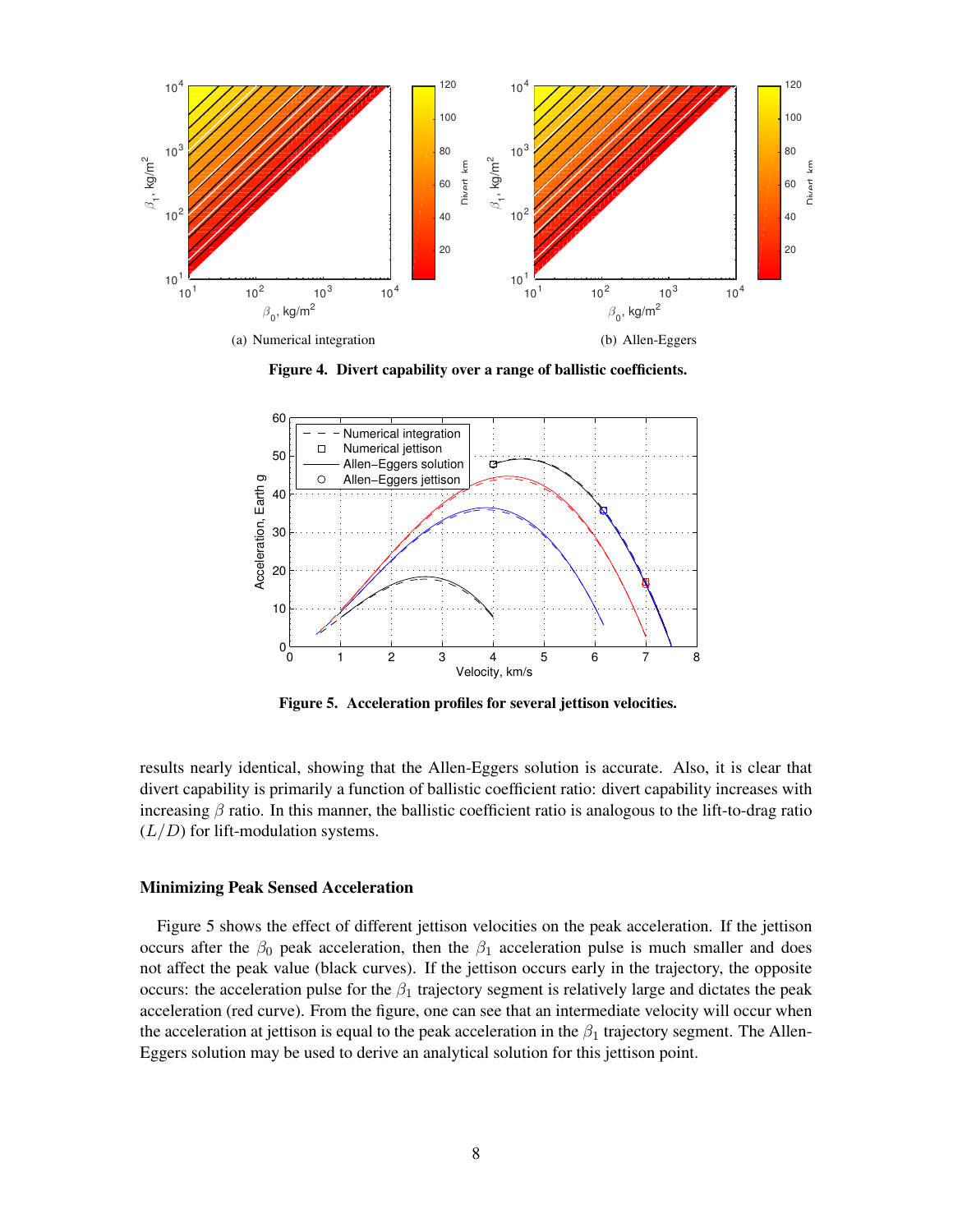<span id="page-7-1"></span>

<span id="page-7-2"></span><span id="page-7-0"></span>Figure 4. Divert capability over a range of ballistic coefficients.



<span id="page-7-3"></span>Figure 5. Acceleration profiles for several jettison velocities.

results nearly identical, showing that the Allen-Eggers solution is accurate. Also, it is clear that divert capability is primarily a function of ballistic coefficient ratio: divert capability increases with increasing  $\beta$  ratio. In this manner, the ballistic coefficient ratio is analogous to the lift-to-drag ratio  $(L/D)$  for lift-modulation systems.

#### Minimizing Peak Sensed Acceleration

Figure [5](#page-7-3) shows the effect of different jettison velocities on the peak acceleration. If the jettison occurs after the  $\beta_0$  peak acceleration, then the  $\beta_1$  acceleration pulse is much smaller and does not affect the peak value (black curves). If the jettison occurs early in the trajectory, the opposite occurs: the acceleration pulse for the  $\beta_1$  trajectory segment is relatively large and dictates the peak acceleration (red curve). From the figure, one can see that an intermediate velocity will occur when the acceleration at jettison is equal to the peak acceleration in the  $\beta_1$  trajectory segment. The Allen-Eggers solution may be used to derive an analytical solution for this jettison point.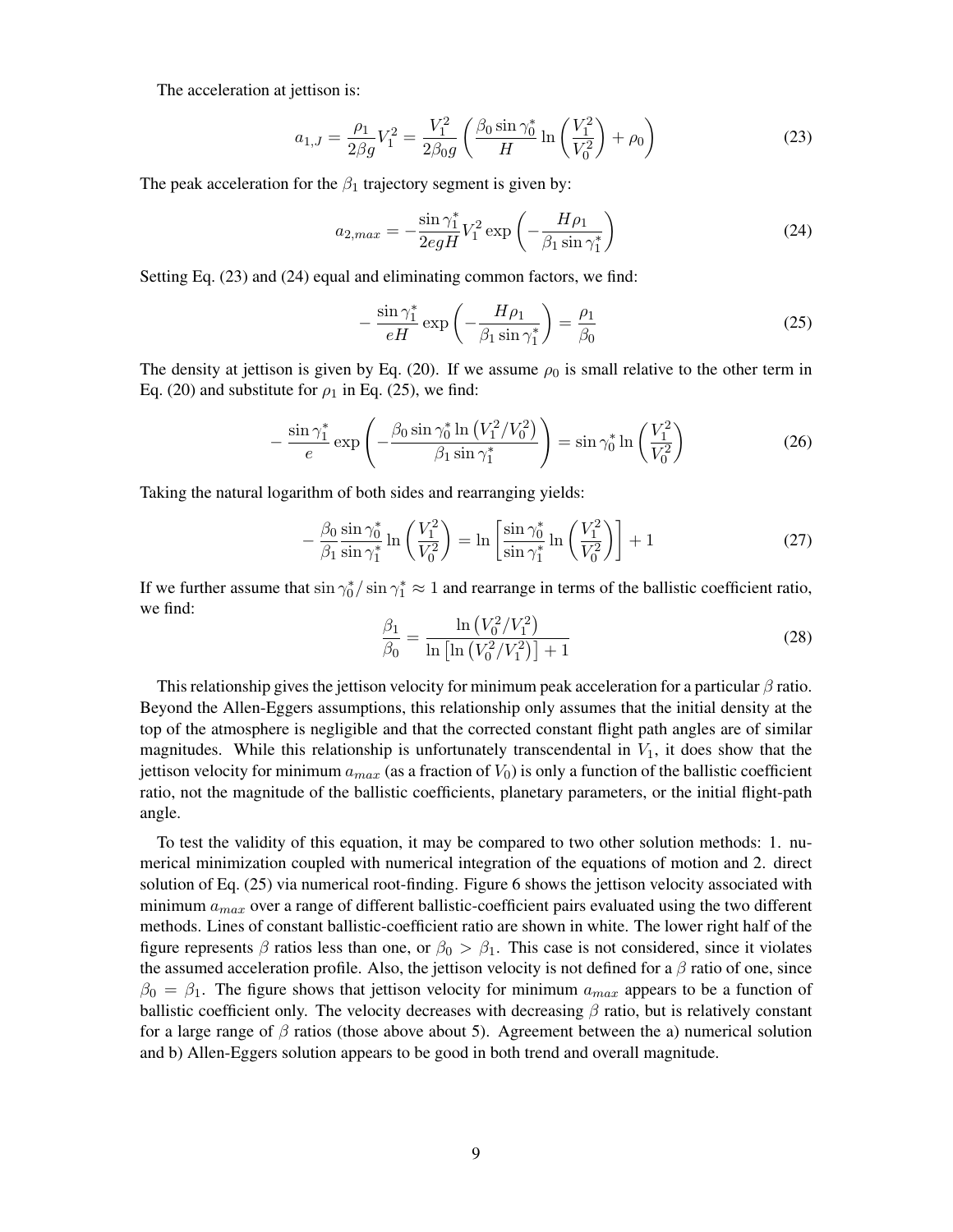The acceleration at jettison is:

<span id="page-8-0"></span>
$$
a_{1,J} = \frac{\rho_1}{2\beta g} V_1^2 = \frac{V_1^2}{2\beta_0 g} \left( \frac{\beta_0 \sin \gamma_0^*}{H} \ln \left( \frac{V_1^2}{V_0^2} \right) + \rho_0 \right)
$$
(23)

The peak acceleration for the  $\beta_1$  trajectory segment is given by:

<span id="page-8-1"></span>
$$
a_{2,max} = -\frac{\sin \gamma_1^*}{2egH} V_1^2 \exp\left(-\frac{H\rho_1}{\beta_1 \sin \gamma_1^*}\right) \tag{24}
$$

Setting Eq. [\(23\)](#page-8-0) and [\(24\)](#page-8-1) equal and eliminating common factors, we find:

<span id="page-8-2"></span>
$$
-\frac{\sin\gamma_1^*}{eH}\exp\left(-\frac{H\rho_1}{\beta_1\sin\gamma_1^*}\right) = \frac{\rho_1}{\beta_0}
$$
\n(25)

The density at jettison is given by Eq. [\(20\)](#page-6-1). If we assume  $\rho_0$  is small relative to the other term in Eq. [\(20\)](#page-6-1) and substitute for  $\rho_1$  in Eq. [\(25\)](#page-8-2), we find:

$$
-\frac{\sin \gamma_1^*}{e} \exp \left(-\frac{\beta_0 \sin \gamma_0^* \ln (V_1^2 / V_0^2)}{\beta_1 \sin \gamma_1^*}\right) = \sin \gamma_0^* \ln \left(\frac{V_1^2}{V_0^2}\right) \tag{26}
$$

Taking the natural logarithm of both sides and rearranging yields:

$$
-\frac{\beta_0}{\beta_1} \frac{\sin \gamma_0^*}{\sin \gamma_1^*} \ln \left( \frac{V_1^2}{V_0^2} \right) = \ln \left[ \frac{\sin \gamma_0^*}{\sin \gamma_1^*} \ln \left( \frac{V_1^2}{V_0^2} \right) \right] + 1 \tag{27}
$$

If we further assume that  $\sin \gamma_0^* / \sin \gamma_1^* \approx 1$  and rearrange in terms of the ballistic coefficient ratio, we find:

<span id="page-8-3"></span>
$$
\frac{\beta_1}{\beta_0} = \frac{\ln\left(V_0^2/V_1^2\right)}{\ln\left[\ln\left(V_0^2/V_1^2\right)\right] + 1} \tag{28}
$$

This relationship gives the jettison velocity for minimum peak acceleration for a particular  $\beta$  ratio. Beyond the Allen-Eggers assumptions, this relationship only assumes that the initial density at the top of the atmosphere is negligible and that the corrected constant flight path angles are of similar magnitudes. While this relationship is unfortunately transcendental in  $V_1$ , it does show that the jettison velocity for minimum  $a_{max}$  (as a fraction of  $V_0$ ) is only a function of the ballistic coefficient ratio, not the magnitude of the ballistic coefficients, planetary parameters, or the initial flight-path angle.

To test the validity of this equation, it may be compared to two other solution methods: 1. numerical minimization coupled with numerical integration of the equations of motion and 2. direct solution of Eq. [\(25\)](#page-8-2) via numerical root-finding. Figure [6](#page-9-0) shows the jettison velocity associated with minimum  $a_{max}$  over a range of different ballistic-coefficient pairs evaluated using the two different methods. Lines of constant ballistic-coefficient ratio are shown in white. The lower right half of the figure represents  $\beta$  ratios less than one, or  $\beta_0 > \beta_1$ . This case is not considered, since it violates the assumed acceleration profile. Also, the jettison velocity is not defined for a  $\beta$  ratio of one, since  $\beta_0 = \beta_1$ . The figure shows that jettison velocity for minimum  $a_{max}$  appears to be a function of ballistic coefficient only. The velocity decreases with decreasing  $\beta$  ratio, but is relatively constant for a large range of  $\beta$  ratios (those above about 5). Agreement between the a) numerical solution and b) Allen-Eggers solution appears to be good in both trend and overall magnitude.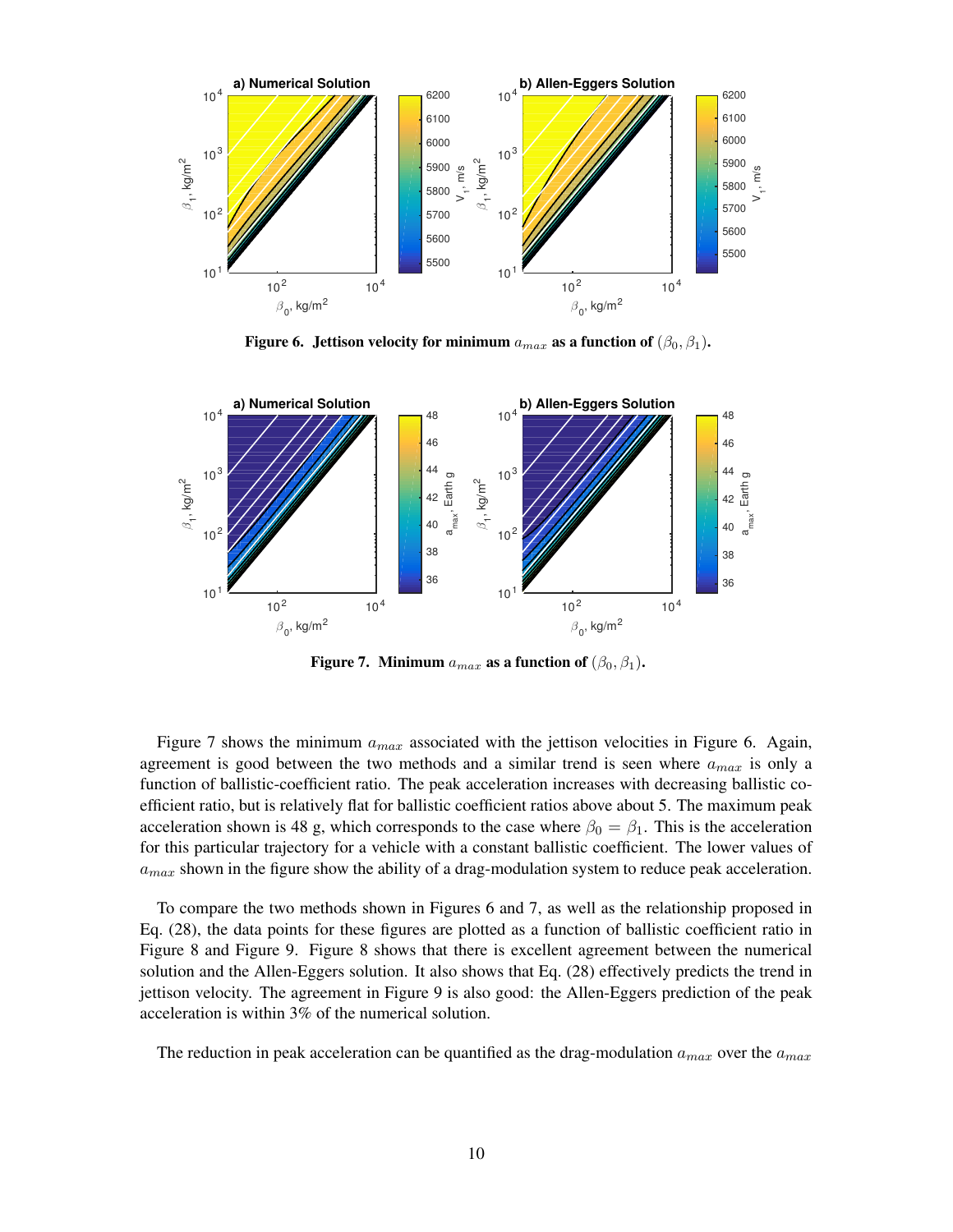

<span id="page-9-0"></span>Figure 6. Jettison velocity for minimum  $a_{max}$  as a function of  $(\beta_0, \beta_1)$ .



<span id="page-9-1"></span>Figure 7. Minimum  $a_{max}$  as a function of  $(\beta_0, \beta_1)$ .

Figure [7](#page-9-1) shows the minimum  $a_{max}$  associated with the jettison velocities in Figure [6.](#page-9-0) Again, agreement is good between the two methods and a similar trend is seen where  $a_{max}$  is only a function of ballistic-coefficient ratio. The peak acceleration increases with decreasing ballistic coefficient ratio, but is relatively flat for ballistic coefficient ratios above about 5. The maximum peak acceleration shown is 48 g, which corresponds to the case where  $\beta_0 = \beta_1$ . This is the acceleration for this particular trajectory for a vehicle with a constant ballistic coefficient. The lower values of  $a_{max}$  shown in the figure show the ability of a drag-modulation system to reduce peak acceleration.

To compare the two methods shown in Figures [6](#page-9-0) and [7,](#page-9-1) as well as the relationship proposed in Eq. [\(28\)](#page-8-3), the data points for these figures are plotted as a function of ballistic coefficient ratio in Figure [8](#page-10-0) and Figure [9.](#page-10-1) Figure [8](#page-10-0) shows that there is excellent agreement between the numerical solution and the Allen-Eggers solution. It also shows that Eq. [\(28\)](#page-8-3) effectively predicts the trend in jettison velocity. The agreement in Figure [9](#page-10-1) is also good: the Allen-Eggers prediction of the peak acceleration is within 3% of the numerical solution.

The reduction in peak acceleration can be quantified as the drag-modulation  $a_{max}$  over the  $a_{max}$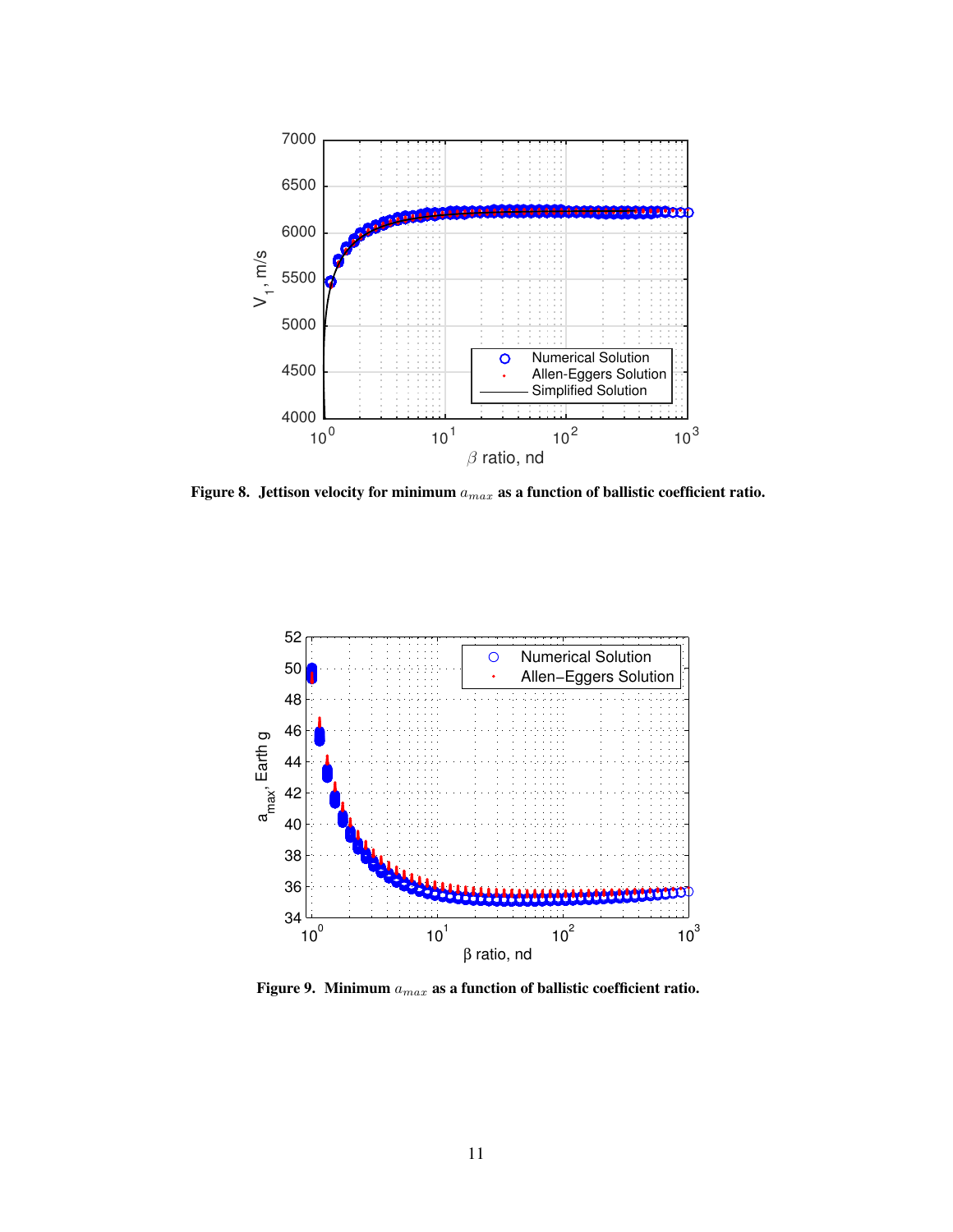

<span id="page-10-0"></span>Figure 8. Jettison velocity for minimum  $a_{max}$  as a function of ballistic coefficient ratio.



<span id="page-10-1"></span>Figure 9. Minimum  $a_{max}$  as a function of ballistic coefficient ratio.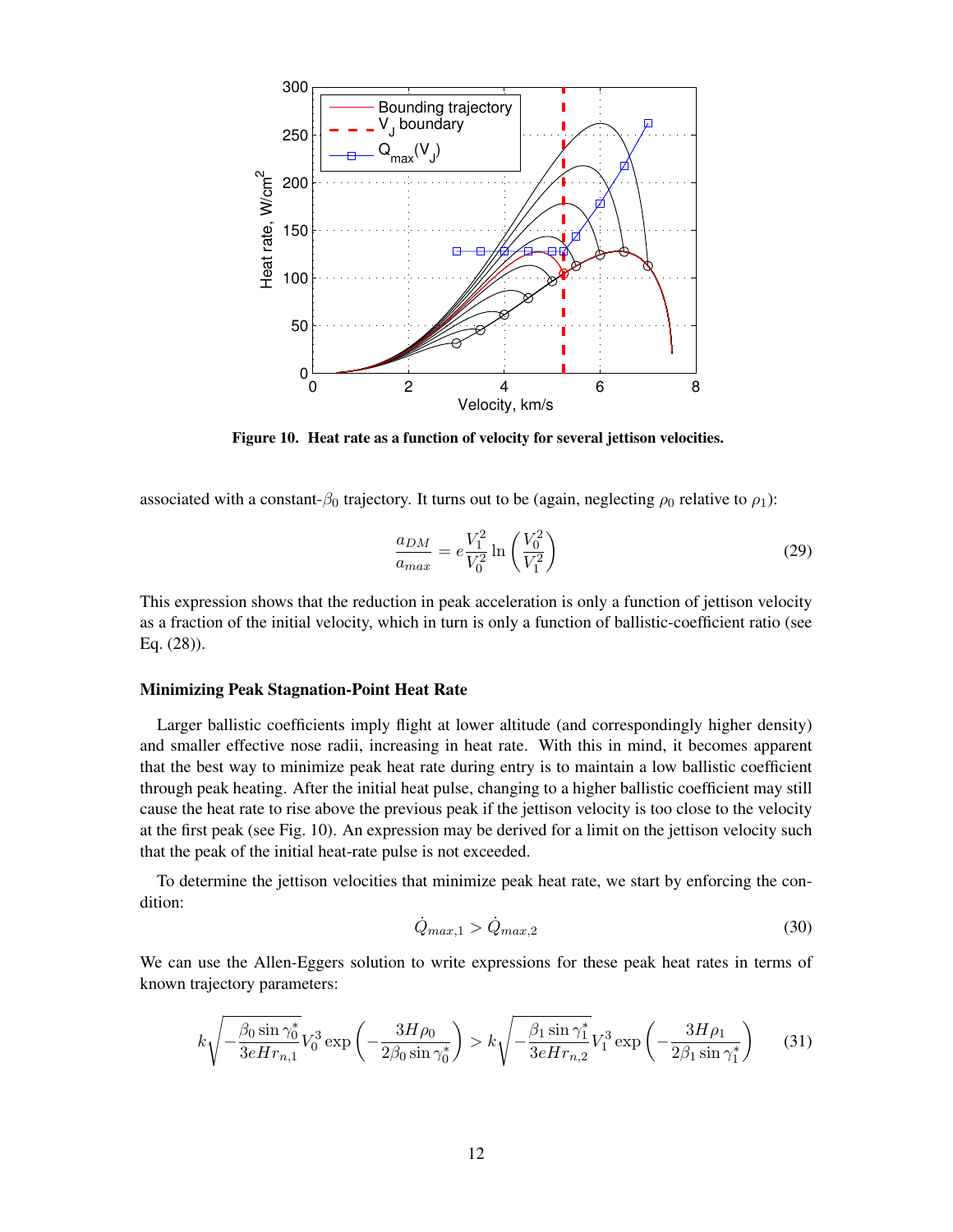

<span id="page-11-0"></span>Figure 10. Heat rate as a function of velocity for several jettison velocities.

associated with a constant- $\beta_0$  trajectory. It turns out to be (again, neglecting  $\rho_0$  relative to  $\rho_1$ ):

$$
\frac{a_{DM}}{a_{max}} = e \frac{V_1^2}{V_0^2} \ln\left(\frac{V_0^2}{V_1^2}\right)
$$
\n(29)

This expression shows that the reduction in peak acceleration is only a function of jettison velocity as a fraction of the initial velocity, which in turn is only a function of ballistic-coefficient ratio (see Eq. [\(28\)](#page-8-3)).

### Minimizing Peak Stagnation-Point Heat Rate

Larger ballistic coefficients imply flight at lower altitude (and correspondingly higher density) and smaller effective nose radii, increasing in heat rate. With this in mind, it becomes apparent that the best way to minimize peak heat rate during entry is to maintain a low ballistic coefficient through peak heating. After the initial heat pulse, changing to a higher ballistic coefficient may still cause the heat rate to rise above the previous peak if the jettison velocity is too close to the velocity at the first peak (see Fig. [10\)](#page-11-0). An expression may be derived for a limit on the jettison velocity such that the peak of the initial heat-rate pulse is not exceeded.

To determine the jettison velocities that minimize peak heat rate, we start by enforcing the condition:

$$
\dot{Q}_{max,1} > \dot{Q}_{max,2} \tag{30}
$$

We can use the Allen-Eggers solution to write expressions for these peak heat rates in terms of known trajectory parameters:

$$
k\sqrt{-\frac{\beta_0 \sin \gamma_0^*}{3eHr_{n,1}}}V_0^3 \exp\left(-\frac{3H\rho_0}{2\beta_0 \sin \gamma_0^*}\right) > k\sqrt{-\frac{\beta_1 \sin \gamma_1^*}{3eHr_{n,2}}}V_1^3 \exp\left(-\frac{3H\rho_1}{2\beta_1 \sin \gamma_1^*}\right) \tag{31}
$$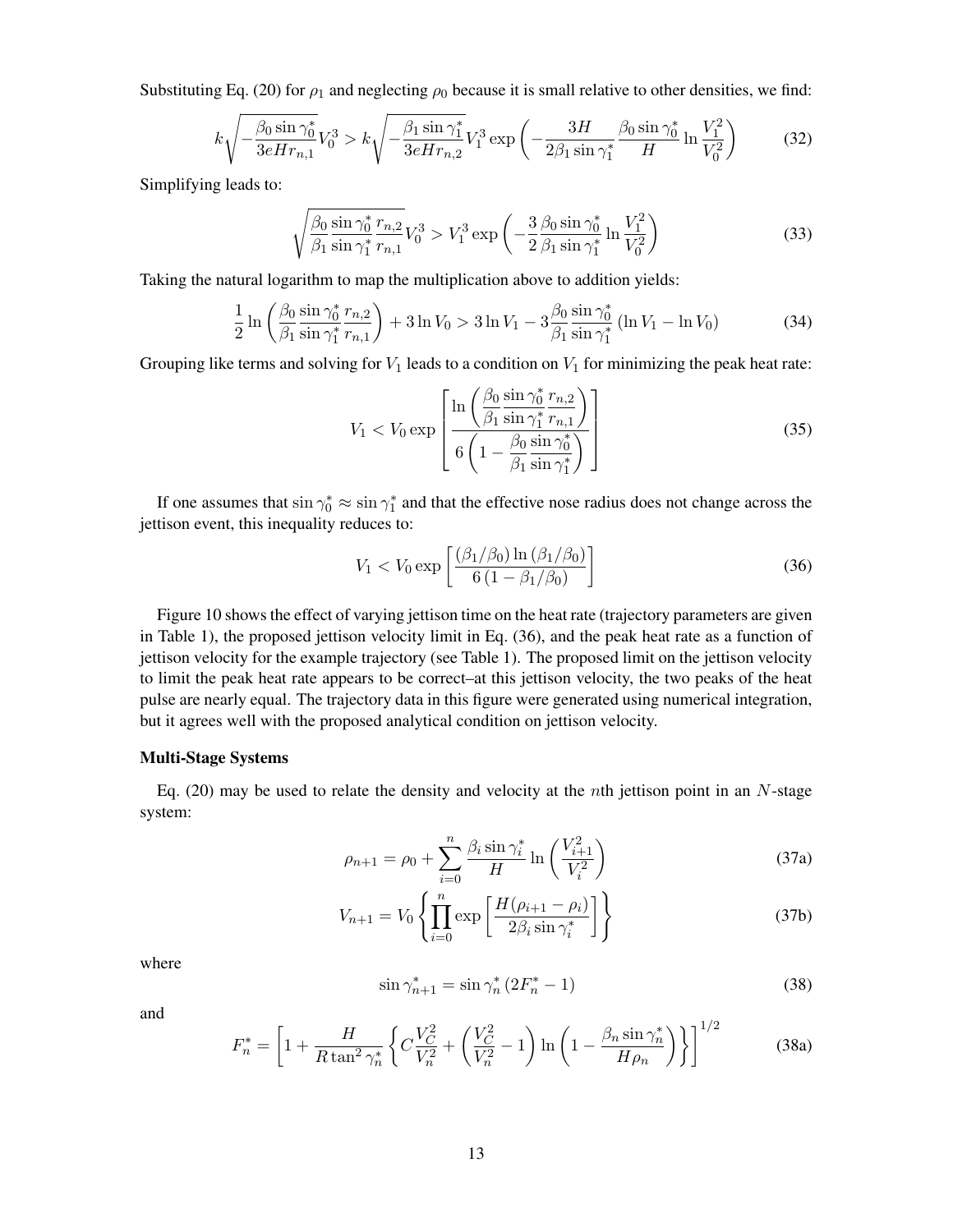Substituting Eq. [\(20\)](#page-6-1) for  $\rho_1$  and neglecting  $\rho_0$  because it is small relative to other densities, we find:

$$
k\sqrt{-\frac{\beta_0 \sin \gamma_0^*}{3eHr_{n,1}}}V_0^3 > k\sqrt{-\frac{\beta_1 \sin \gamma_1^*}{3eHr_{n,2}}}V_1^3 \exp\left(-\frac{3H}{2\beta_1 \sin \gamma_1^*} \frac{\beta_0 \sin \gamma_0^*}{H} \ln \frac{V_1^2}{V_0^2}\right) \tag{32}
$$

Simplifying leads to:

$$
\sqrt{\frac{\beta_0 \sin \gamma_0^*}{\beta_1 \sin \gamma_1^*} \frac{r_{n,2}}{r_{n,1}}} V_0^3 > V_1^3 \exp\left(-\frac{3}{2} \frac{\beta_0 \sin \gamma_0^*}{\beta_1 \sin \gamma_1^*} \ln \frac{V_1^2}{V_0^2}\right)
$$
(33)

Taking the natural logarithm to map the multiplication above to addition yields:

$$
\frac{1}{2}\ln\left(\frac{\beta_0}{\beta_1}\frac{\sin\gamma_0^*}{\sin\gamma_1^*} \frac{r_{n,2}}{r_{n,1}}\right) + 3\ln V_0 > 3\ln V_1 - 3\frac{\beta_0}{\beta_1}\frac{\sin\gamma_0^*}{\sin\gamma_1^*}(\ln V_1 - \ln V_0)
$$
(34)

Grouping like terms and solving for  $V_1$  leads to a condition on  $V_1$  for minimizing the peak heat rate:

$$
V_1 < V_0 \exp\left[\frac{\ln\left(\frac{\beta_0}{\beta_1}\frac{\sin\gamma_0^*}{\sin\gamma_1^*} \frac{r_{n,2}}{r_{n,1}}\right)}{6\left(1 - \frac{\beta_0}{\beta_1}\frac{\sin\gamma_0^*}{\sin\gamma_1^*}\right)}\right] \tag{35}
$$

If one assumes that  $\sin \gamma_0^* \approx \sin \gamma_1^*$  and that the effective nose radius does not change across the jettison event, this inequality reduces to:

<span id="page-12-0"></span>
$$
V_1 < V_0 \exp\left[\frac{(\beta_1/\beta_0) \ln(\beta_1/\beta_0)}{6(1-\beta_1/\beta_0)}\right] \tag{36}
$$

Figure [10](#page-11-0) shows the effect of varying jettison time on the heat rate (trajectory parameters are given in Table [1\)](#page-5-0), the proposed jettison velocity limit in Eq. [\(36\)](#page-12-0), and the peak heat rate as a function of jettison velocity for the example trajectory (see Table [1\)](#page-5-0). The proposed limit on the jettison velocity to limit the peak heat rate appears to be correct–at this jettison velocity, the two peaks of the heat pulse are nearly equal. The trajectory data in this figure were generated using numerical integration, but it agrees well with the proposed analytical condition on jettison velocity.

#### Multi-Stage Systems

Eq. [\(20\)](#page-6-1) may be used to relate the density and velocity at the *n*th jettison point in an  $N$ -stage system:

$$
\rho_{n+1} = \rho_0 + \sum_{i=0}^{n} \frac{\beta_i \sin \gamma_i^*}{H} \ln \left( \frac{V_{i+1}^2}{V_i^2} \right)
$$
(37a)

$$
V_{n+1} = V_0 \left\{ \prod_{i=0}^n \exp\left[\frac{H(\rho_{i+1} - \rho_i)}{2\beta_i \sin \gamma_i^*}\right] \right\}
$$
(37b)

where

<span id="page-12-2"></span><span id="page-12-1"></span>
$$
\sin \gamma_{n+1}^* = \sin \gamma_n^* \left( 2F_n^* - 1 \right) \tag{38}
$$

and

<span id="page-12-3"></span>
$$
F_n^* = \left[1 + \frac{H}{R \tan^2 \gamma_n^*} \left\{ C \frac{V_C^2}{V_n^2} + \left(\frac{V_C^2}{V_n^2} - 1\right) \ln \left(1 - \frac{\beta_n \sin \gamma_n^*}{H \rho_n}\right) \right\} \right]^{1/2}
$$
(38a)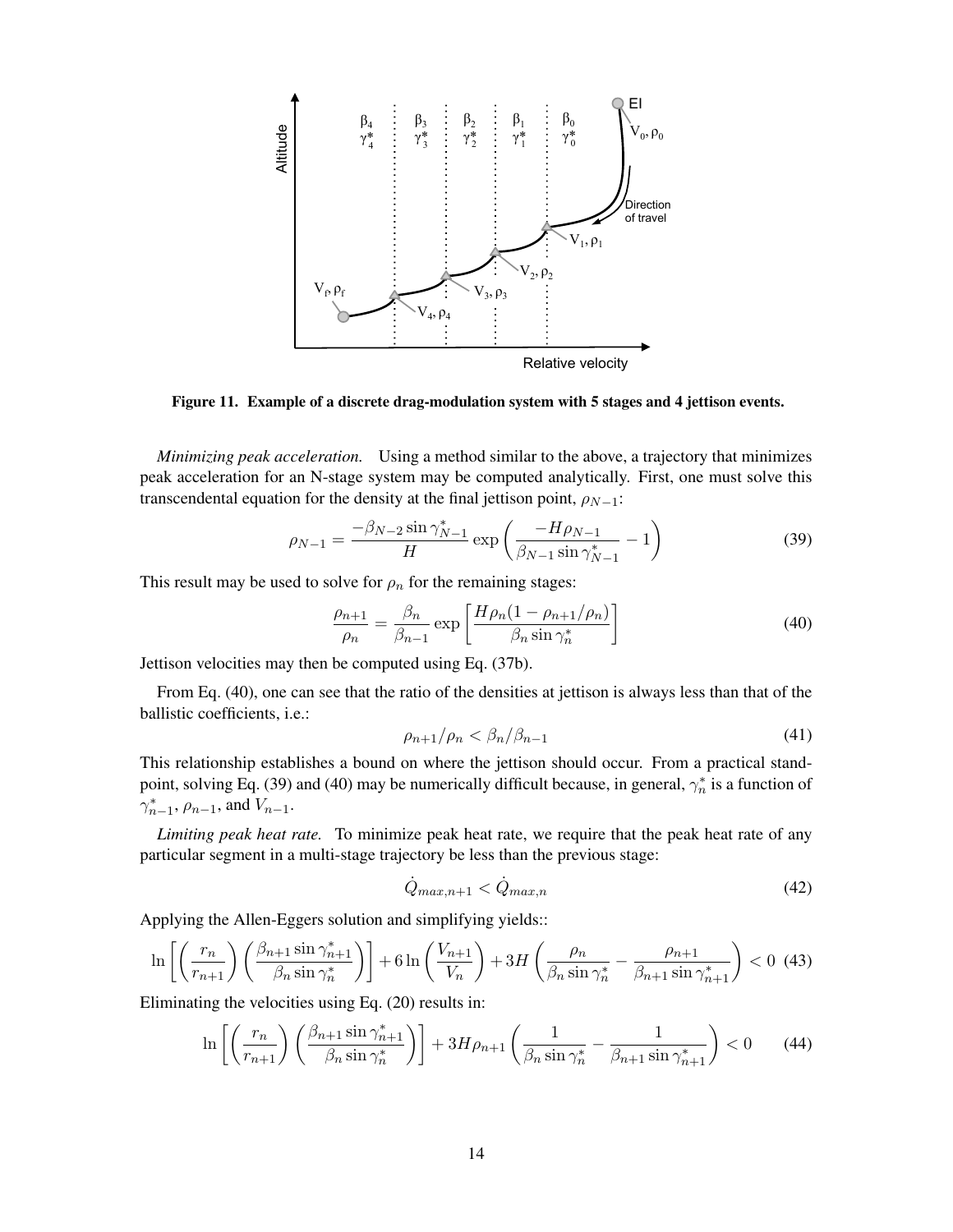

Figure 11. Example of a discrete drag-modulation system with 5 stages and 4 jettison events.

*Minimizing peak acceleration.* Using a method similar to the above, a trajectory that minimizes peak acceleration for an N-stage system may be computed analytically. First, one must solve this transcendental equation for the density at the final jettison point,  $\rho_{N-1}$ :

$$
\rho_{N-1} = \frac{-\beta_{N-2} \sin \gamma_{N-1}^*}{H} \exp \left( \frac{-H \rho_{N-1}}{\beta_{N-1} \sin \gamma_{N-1}^*} - 1 \right)
$$
(39)

This result may be used to solve for  $\rho_n$  for the remaining stages:

<span id="page-13-0"></span>
$$
\frac{\rho_{n+1}}{\rho_n} = \frac{\beta_n}{\beta_{n-1}} \exp\left[\frac{H\rho_n(1-\rho_{n+1}/\rho_n)}{\beta_n \sin \gamma_n^*}\right]
$$
(40)

Jettison velocities may then be computed using Eq. [\(37b\)](#page-12-2).

From Eq. [\(40\)](#page-13-0), one can see that the ratio of the densities at jettison is always less than that of the ballistic coefficients, i.e.:

$$
\rho_{n+1}/\rho_n < \beta_n/\beta_{n-1} \tag{41}
$$

This relationship establishes a bound on where the jettison should occur. From a practical stand-point, solving Eq. [\(39\)](#page-12-3) and [\(40\)](#page-13-0) may be numerically difficult because, in general,  $\gamma_n^*$  is a function of  $\gamma_{n-1}^*$ ,  $\rho_{n-1}$ , and  $V_{n-1}$ .

*Limiting peak heat rate.* To minimize peak heat rate, we require that the peak heat rate of any particular segment in a multi-stage trajectory be less than the previous stage:

$$
\dot{Q}_{max,n+1} < \dot{Q}_{max,n} \tag{42}
$$

Applying the Allen-Eggers solution and simplifying yields::

$$
\ln\left[\left(\frac{r_n}{r_{n+1}}\right)\left(\frac{\beta_{n+1}\sin\gamma_{n+1}^*}{\beta_n\sin\gamma_n^*}\right)\right] + 6\ln\left(\frac{V_{n+1}}{V_n}\right) + 3H\left(\frac{\rho_n}{\beta_n\sin\gamma_n^*} - \frac{\rho_{n+1}}{\beta_{n+1}\sin\gamma_{n+1}^*}\right) < 0 \tag{43}
$$

Eliminating the velocities using Eq. [\(20\)](#page-6-1) results in:

$$
\ln\left[\left(\frac{r_n}{r_{n+1}}\right)\left(\frac{\beta_{n+1}\sin\gamma_{n+1}^*}{\beta_n\sin\gamma_n^*}\right)\right] + 3H\rho_{n+1}\left(\frac{1}{\beta_n\sin\gamma_n^*} - \frac{1}{\beta_{n+1}\sin\gamma_{n+1}^*}\right) < 0\tag{44}
$$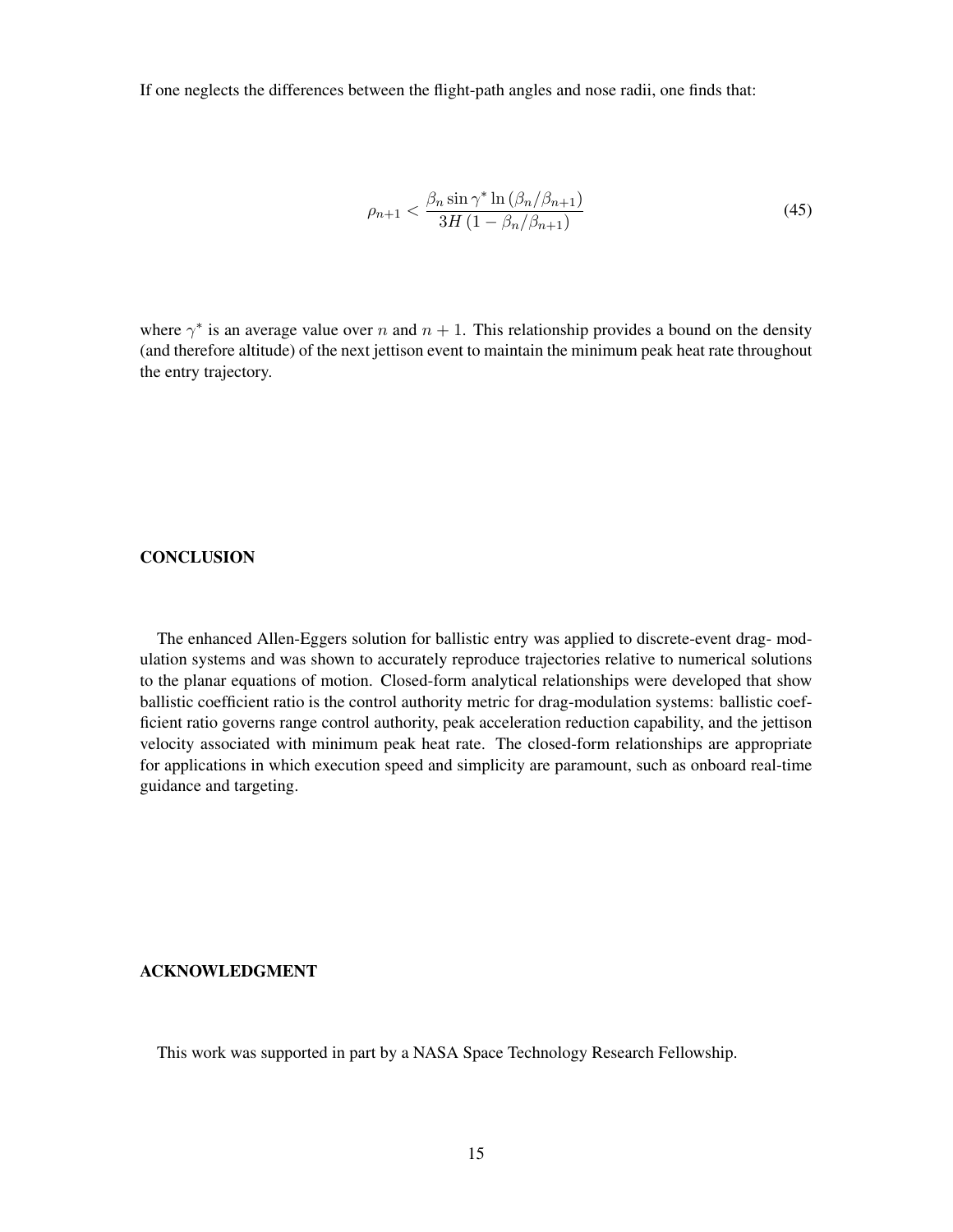If one neglects the differences between the flight-path angles and nose radii, one finds that:

$$
\rho_{n+1} < \frac{\beta_n \sin \gamma^* \ln \left(\beta_n / \beta_{n+1}\right)}{3H \left(1 - \beta_n / \beta_{n+1}\right)}\tag{45}
$$

where  $\gamma^*$  is an average value over n and  $n + 1$ . This relationship provides a bound on the density (and therefore altitude) of the next jettison event to maintain the minimum peak heat rate throughout the entry trajectory.

## **CONCLUSION**

The enhanced Allen-Eggers solution for ballistic entry was applied to discrete-event drag- modulation systems and was shown to accurately reproduce trajectories relative to numerical solutions to the planar equations of motion. Closed-form analytical relationships were developed that show ballistic coefficient ratio is the control authority metric for drag-modulation systems: ballistic coefficient ratio governs range control authority, peak acceleration reduction capability, and the jettison velocity associated with minimum peak heat rate. The closed-form relationships are appropriate for applications in which execution speed and simplicity are paramount, such as onboard real-time guidance and targeting.

#### ACKNOWLEDGMENT

This work was supported in part by a NASA Space Technology Research Fellowship.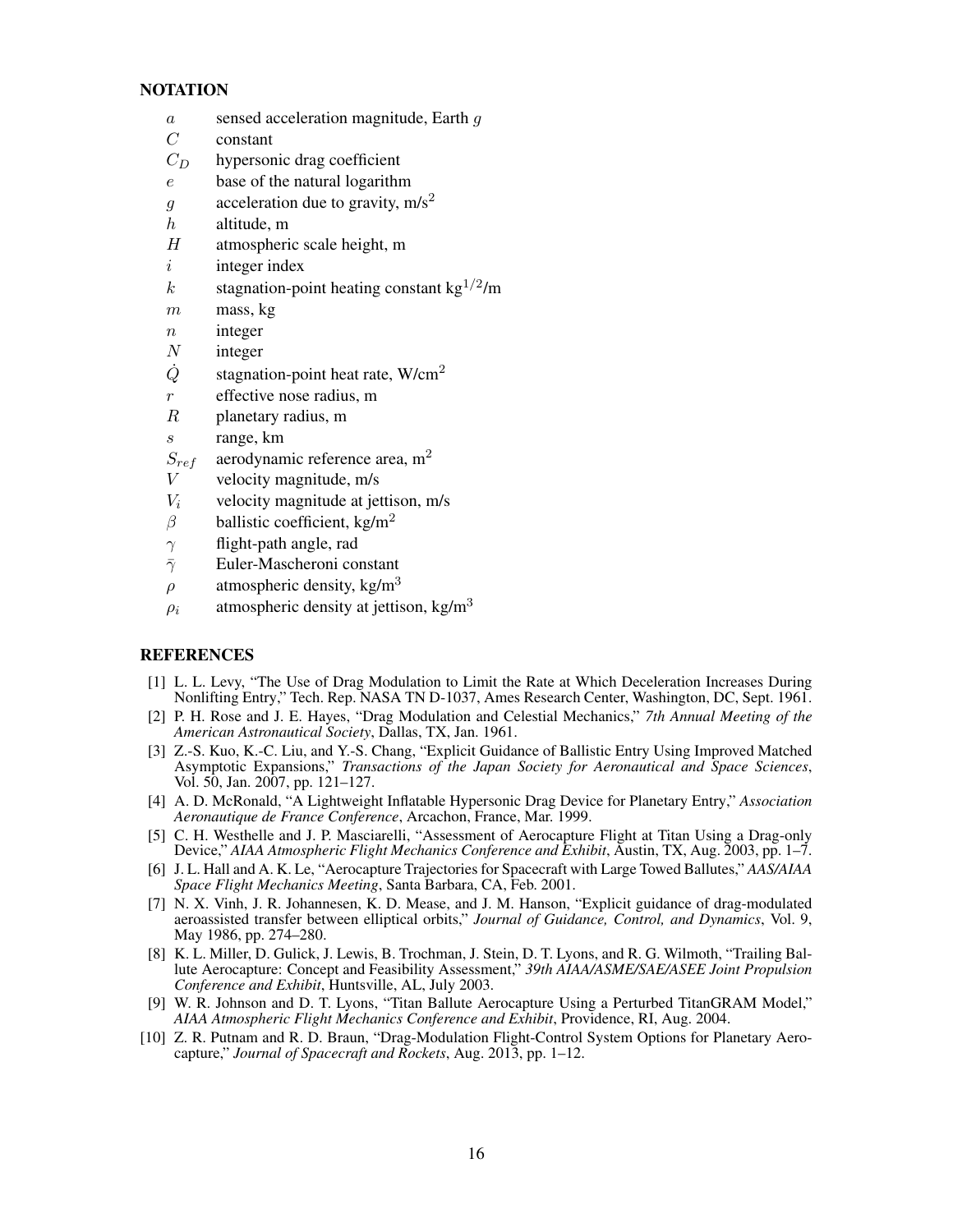## **NOTATION**

- a sensed acceleration magnitude, Earth g
- $C$  constant
- $C_D$  hypersonic drag coefficient
- e base of the natural logarithm
- $g \cdot$  acceleration due to gravity, m/s<sup>2</sup>
- $h$  altitude, m
- H atmospheric scale height, m
- $i$  integer index
- k stagnation-point heating constant kg<sup>1/2</sup>/m
- $m$  mass, kg
- $n$  integer
- $N$  integer
- $Q$  stagnation-point heat rate, W/cm<sup>2</sup>
- r effective nose radius, m
- R planetary radius, m
- s range, km
- $S_{ref}$  aerodynamic reference area, m<sup>2</sup>
- $V$  velocity magnitude, m/s
- $V_i$  velocity magnitude at jettison, m/s
- β ballistic coefficient, kg/m<sup>2</sup>
- $\gamma$  flight-path angle, rad
- $\bar{\gamma}$  Euler-Mascheroni constant
- $\rho$  atmospheric density, kg/m<sup>3</sup>
- $\rho_i$  atmospheric density at jettison, kg/m<sup>3</sup>

## **REFERENCES**

- <span id="page-15-0"></span>[1] L. L. Levy, "The Use of Drag Modulation to Limit the Rate at Which Deceleration Increases During Nonlifting Entry," Tech. Rep. NASA TN D-1037, Ames Research Center, Washington, DC, Sept. 1961.
- <span id="page-15-1"></span>[2] P. H. Rose and J. E. Hayes, "Drag Modulation and Celestial Mechanics," *7th Annual Meeting of the American Astronautical Society*, Dallas, TX, Jan. 1961.
- <span id="page-15-2"></span>[3] Z.-S. Kuo, K.-C. Liu, and Y.-S. Chang, "Explicit Guidance of Ballistic Entry Using Improved Matched Asymptotic Expansions," *Transactions of the Japan Society for Aeronautical and Space Sciences*, Vol. 50, Jan. 2007, pp. 121–127.
- <span id="page-15-3"></span>[4] A. D. McRonald, "A Lightweight Inflatable Hypersonic Drag Device for Planetary Entry," *Association Aeronautique de France Conference*, Arcachon, France, Mar. 1999.
- [5] C. H. Westhelle and J. P. Masciarelli, "Assessment of Aerocapture Flight at Titan Using a Drag-only Device," *AIAA Atmospheric Flight Mechanics Conference and Exhibit*, Austin, TX, Aug. 2003, pp. 1–7.
- <span id="page-15-4"></span>[6] J. L. Hall and A. K. Le, "Aerocapture Trajectories for Spacecraft with Large Towed Ballutes," *AAS/AIAA Space Flight Mechanics Meeting*, Santa Barbara, CA, Feb. 2001.
- <span id="page-15-5"></span>[7] N. X. Vinh, J. R. Johannesen, K. D. Mease, and J. M. Hanson, "Explicit guidance of drag-modulated aeroassisted transfer between elliptical orbits," *Journal of Guidance, Control, and Dynamics*, Vol. 9, May 1986, pp. 274–280.
- [8] K. L. Miller, D. Gulick, J. Lewis, B. Trochman, J. Stein, D. T. Lyons, and R. G. Wilmoth, "Trailing Ballute Aerocapture: Concept and Feasibility Assessment," *39th AIAA/ASME/SAE/ASEE Joint Propulsion Conference and Exhibit*, Huntsville, AL, July 2003.
- [9] W. R. Johnson and D. T. Lyons, "Titan Ballute Aerocapture Using a Perturbed TitanGRAM Model," *AIAA Atmospheric Flight Mechanics Conference and Exhibit*, Providence, RI, Aug. 2004.
- <span id="page-15-6"></span>[10] Z. R. Putnam and R. D. Braun, "Drag-Modulation Flight-Control System Options for Planetary Aerocapture," *Journal of Spacecraft and Rockets*, Aug. 2013, pp. 1–12.